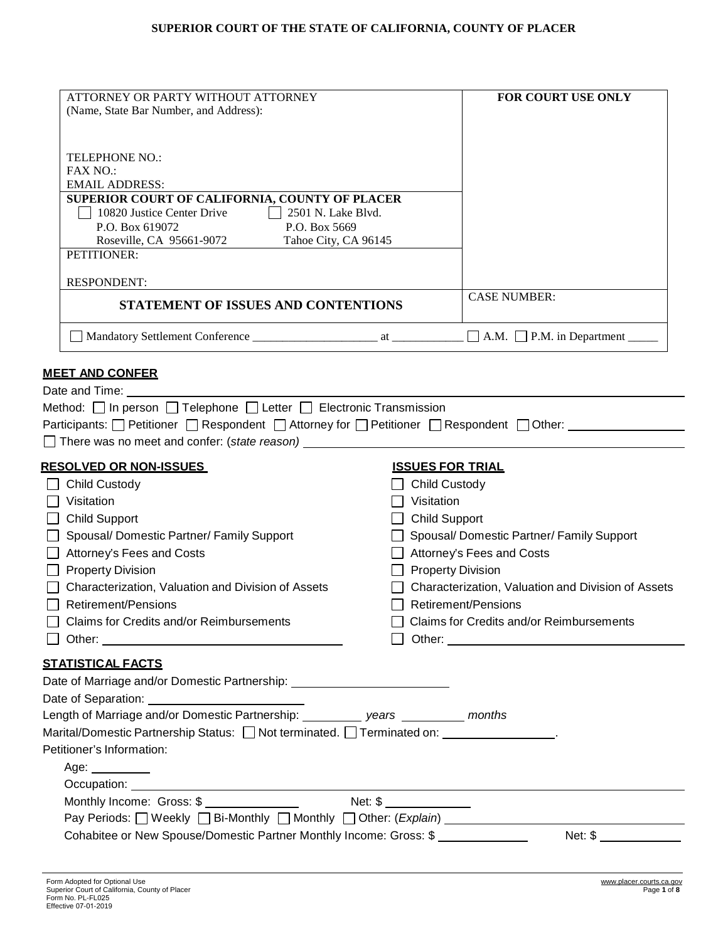# **SUPERIOR COURT OF THE STATE OF CALIFORNIA, COUNTY OF PLACER**

| ATTORNEY OR PARTY WITHOUT ATTORNEY<br>(Name, State Bar Number, and Address):                                                                                                                                                           |                                                 | FOR COURT USE ONLY                                 |
|----------------------------------------------------------------------------------------------------------------------------------------------------------------------------------------------------------------------------------------|-------------------------------------------------|----------------------------------------------------|
| TELEPHONE NO.:<br>FAX NO.:                                                                                                                                                                                                             |                                                 |                                                    |
| <b>EMAIL ADDRESS:</b>                                                                                                                                                                                                                  |                                                 |                                                    |
| SUPERIOR COURT OF CALIFORNIA, COUNTY OF PLACER<br>10820 Justice Center Drive<br>2501 N. Lake Blvd.<br>P.O. Box 619072<br>P.O. Box 5669<br>Roseville, CA 95661-9072<br>Tahoe City, CA 96145                                             |                                                 |                                                    |
| PETITIONER:                                                                                                                                                                                                                            |                                                 |                                                    |
| <b>RESPONDENT:</b>                                                                                                                                                                                                                     |                                                 |                                                    |
| STATEMENT OF ISSUES AND CONTENTIONS                                                                                                                                                                                                    |                                                 | <b>CASE NUMBER:</b>                                |
|                                                                                                                                                                                                                                        |                                                 |                                                    |
| <b>MEET AND CONFER</b>                                                                                                                                                                                                                 |                                                 |                                                    |
| Method: □ In person □ Telephone □ Letter □ Electronic Transmission<br>Participants: □ Petitioner □ Respondent □ Attorney for □ Petitioner □ Respondent □ Other: ________<br>$\Box$ There was no meet and confer: (state reason) $\Box$ |                                                 |                                                    |
|                                                                                                                                                                                                                                        |                                                 |                                                    |
| <u>RESOLVED OR NON-ISSUES</u><br><b>Child Custody</b>                                                                                                                                                                                  | <b>ISSUES FOR TRIAL</b><br><b>Child Custody</b> |                                                    |
| Visitation                                                                                                                                                                                                                             | Visitation                                      |                                                    |
| $\Box$ Child Support                                                                                                                                                                                                                   | <b>Child Support</b>                            |                                                    |
| Spousal/ Domestic Partner/ Family Support                                                                                                                                                                                              |                                                 | Spousal/ Domestic Partner/ Family Support          |
| Attorney's Fees and Costs                                                                                                                                                                                                              |                                                 | Attorney's Fees and Costs                          |
| <b>Property Division</b>                                                                                                                                                                                                               | <b>Property Division</b>                        |                                                    |
| Characterization, Valuation and Division of Assets                                                                                                                                                                                     |                                                 | Characterization, Valuation and Division of Assets |
| <b>Retirement/Pensions</b>                                                                                                                                                                                                             |                                                 | <b>Retirement/Pensions</b>                         |
| Claims for Credits and/or Reimbursements                                                                                                                                                                                               |                                                 | Claims for Credits and/or Reimbursements           |
|                                                                                                                                                                                                                                        |                                                 |                                                    |
| <b>STATISTICAL FACTS</b>                                                                                                                                                                                                               |                                                 |                                                    |
| Date of Marriage and/or Domestic Partnership: __________________________________                                                                                                                                                       |                                                 |                                                    |
|                                                                                                                                                                                                                                        |                                                 |                                                    |
|                                                                                                                                                                                                                                        |                                                 |                                                    |
|                                                                                                                                                                                                                                        |                                                 |                                                    |
| Petitioner's Information:                                                                                                                                                                                                              |                                                 |                                                    |
| Age: __________                                                                                                                                                                                                                        |                                                 |                                                    |
|                                                                                                                                                                                                                                        |                                                 |                                                    |
| Monthly Income: Gross: \$ ________________                                                                                                                                                                                             | Net: \$                                         |                                                    |
| Pay Periods: O Weekly D Bi-Monthly O Monthly O Other: (Explain) ___________________________________                                                                                                                                    |                                                 |                                                    |
| Cohabitee or New Spouse/Domestic Partner Monthly Income: Gross: \$                                                                                                                                                                     |                                                 | Net: $\sqrt[6]{}$                                  |
|                                                                                                                                                                                                                                        |                                                 |                                                    |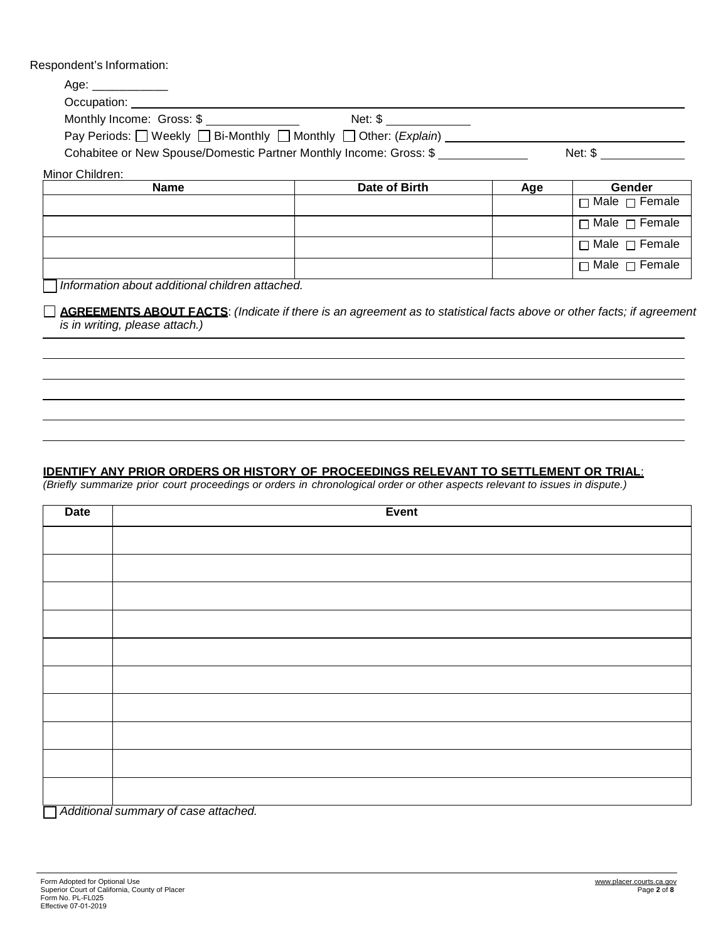#### Respondent's Information:

| Age: _____________                                                                                                                                                                                                            |               |     |                           |
|-------------------------------------------------------------------------------------------------------------------------------------------------------------------------------------------------------------------------------|---------------|-----|---------------------------|
| Occupation: example of the state of the state of the state of the state of the state of the state of the state of the state of the state of the state of the state of the state of the state of the state of the state of the |               |     |                           |
| Monthly Income: Gross: \$                                                                                                                                                                                                     | Net: \$       |     |                           |
| Pay Periods: Weekly D Bi-Monthly D Monthly D Other: (Explain)                                                                                                                                                                 |               |     |                           |
| Cohabitee or New Spouse/Domestic Partner Monthly Income: Gross: \$                                                                                                                                                            |               |     | Net: \$                   |
| Minor Children:                                                                                                                                                                                                               |               |     |                           |
| <b>Name</b>                                                                                                                                                                                                                   | Date of Birth | Age | Gender                    |
|                                                                                                                                                                                                                               |               |     | $\Box$ Male $\Box$ Female |
|                                                                                                                                                                                                                               |               |     | $\Box$ Male $\Box$ Female |
|                                                                                                                                                                                                                               |               |     | $\Box$ Male $\Box$ Female |
|                                                                                                                                                                                                                               |               |     | $\Box$ Male $\Box$ Female |

*Information about additional children attached.*

**AGREEMENTS ABOUT FACTS**: *(Indicate if there is an agreement as to statistical facts above or other facts; if agreement is in writing, please attach.)*

# **IDENTIFY ANY PRIOR ORDERS OR HISTORY OF PROCEEDINGS RELEVANT TO SETTLEMENT OR TRIAL**:

*(Briefly summarize prior court proceedings or orders in chronological order or other aspects relevant to issues in dispute.)*

| <b>Date</b> | Event                                |
|-------------|--------------------------------------|
|             |                                      |
|             |                                      |
|             |                                      |
|             |                                      |
|             |                                      |
|             |                                      |
|             |                                      |
|             |                                      |
|             |                                      |
|             |                                      |
|             | Additional summary of case attached. |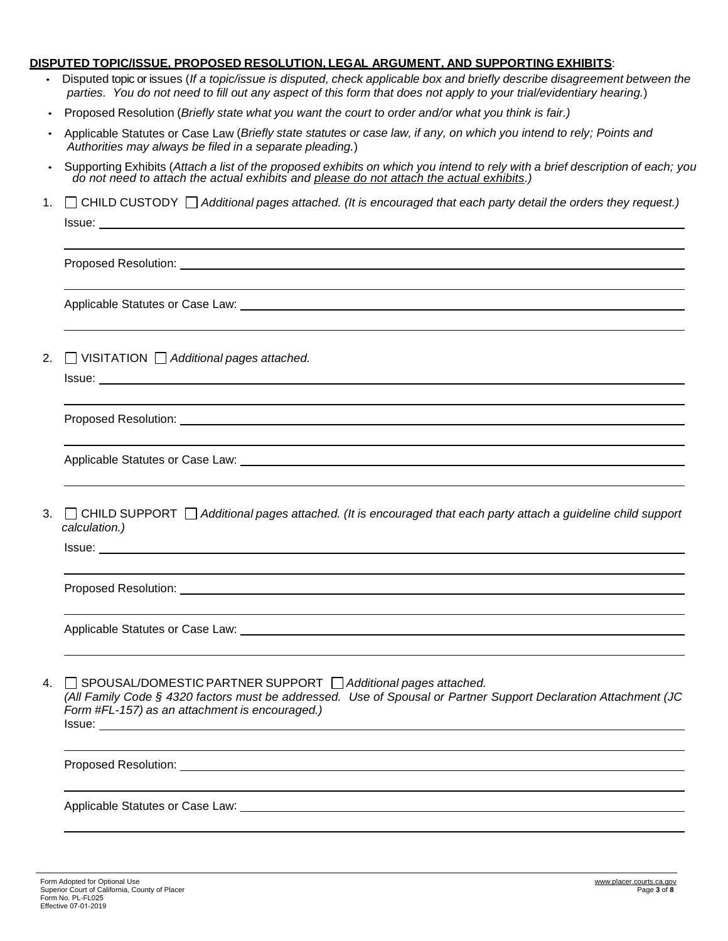#### **DISPUTED TOPIC/ISSUE, PROPOSED RESOLUTION, LEGAL ARGUMENT, AND SUPPORTING EXHIBITS**:

- Disputed topic or issues (*If a topic/issue is disputed, check applicable box and briefly describe disagreement between the parties. You do not need to fill out any aspect of this form that does not apply to your trial/evidentiary hearing.*)
- Proposed Resolution (*Briefly state what you want the court to order and/or what you think is fair.)*
- Applicable Statutes or Case Law (*Briefly state statutes or case law, if any, on which you intend to rely; Points and Authorities may always be filed in a separate pleading.*)
- Supporting Exhibits (Attach a list of the proposed exhibits on which you intend to rely with a brief description of each; you do not need to attach the actual exhibits and please do not attach the actual exhibits.)
- 1. CHILD CUSTODY *Additional pages attached. (It is encouraged that each party detail the orders they request.)* Issue:

Proposed Resolution:

Applicable Statutes or Case Law:

2. VISITATION *Additional pages attached.*

Issue:

Issue:

Proposed Resolution:

```
Applicable Statutes or Case Law:
```
3. CHILD SUPPORT *Additional pages attached. (It is encouraged that each party attach a guideline child support calculation.)*

Proposed Resolution:

Applicable Statutes or Case Law:

4. SPOUSAL/DOMESTIC PARTNER SUPPORT *Additional pages attached. (All Family Code § 4320 factors must be addressed. Use of Spousal or Partner Support Declaration Attachment (JC Form #FL-157) as an attachment is encouraged.)* Issue:

Proposed Resolution:

Applicable Statutes or Case Law: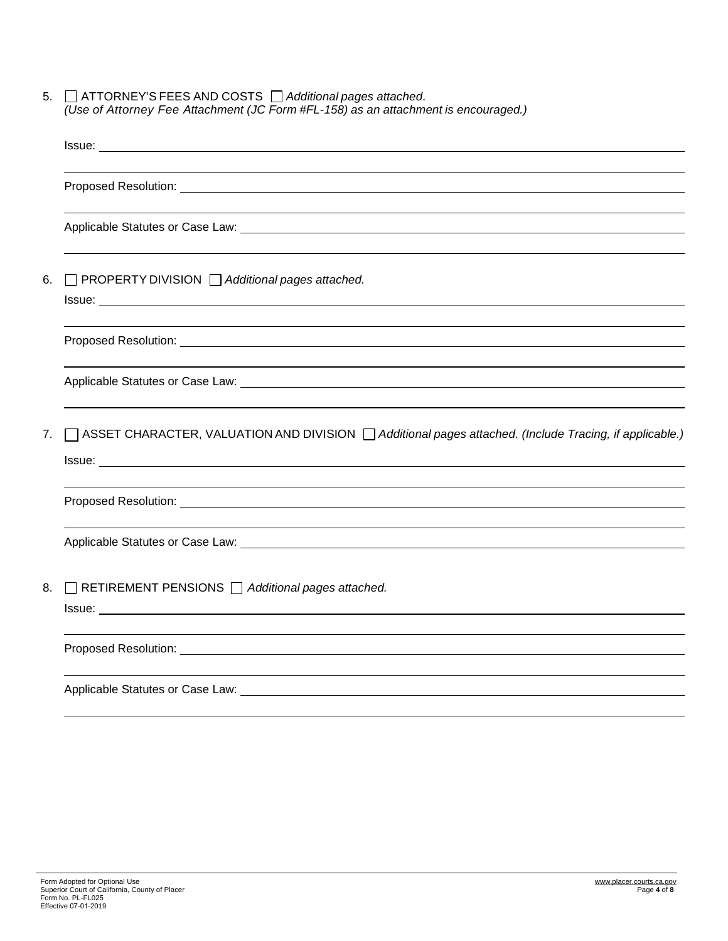5. ATTORNEY'S FEES AND COSTS *Additional pages attached*. *(Use of Attorney Fee Attachment (JC Form #FL-158) as an attachment is encouraged.)*

|    | Applicable Statutes or Case Law: North American Control of the Control of the Control of the Control of the Control of the Control of the Control of the Control of the Control of the Control of the Control of the Control o |
|----|--------------------------------------------------------------------------------------------------------------------------------------------------------------------------------------------------------------------------------|
|    |                                                                                                                                                                                                                                |
| 6. | □ PROPERTY DIVISION □ Additional pages attached.                                                                                                                                                                               |
|    |                                                                                                                                                                                                                                |
|    |                                                                                                                                                                                                                                |
|    |                                                                                                                                                                                                                                |
|    |                                                                                                                                                                                                                                |
|    |                                                                                                                                                                                                                                |
| 7. | □ ASSET CHARACTER, VALUATION AND DIVISION □ Additional pages attached. (Include Tracing, if applicable.)                                                                                                                       |
|    |                                                                                                                                                                                                                                |
|    |                                                                                                                                                                                                                                |
|    |                                                                                                                                                                                                                                |
|    |                                                                                                                                                                                                                                |
|    |                                                                                                                                                                                                                                |
|    |                                                                                                                                                                                                                                |
| 8. | RETIREMENT PENSIONS   Additional pages attached.                                                                                                                                                                               |
|    |                                                                                                                                                                                                                                |
|    |                                                                                                                                                                                                                                |
|    |                                                                                                                                                                                                                                |
|    |                                                                                                                                                                                                                                |
|    |                                                                                                                                                                                                                                |
|    |                                                                                                                                                                                                                                |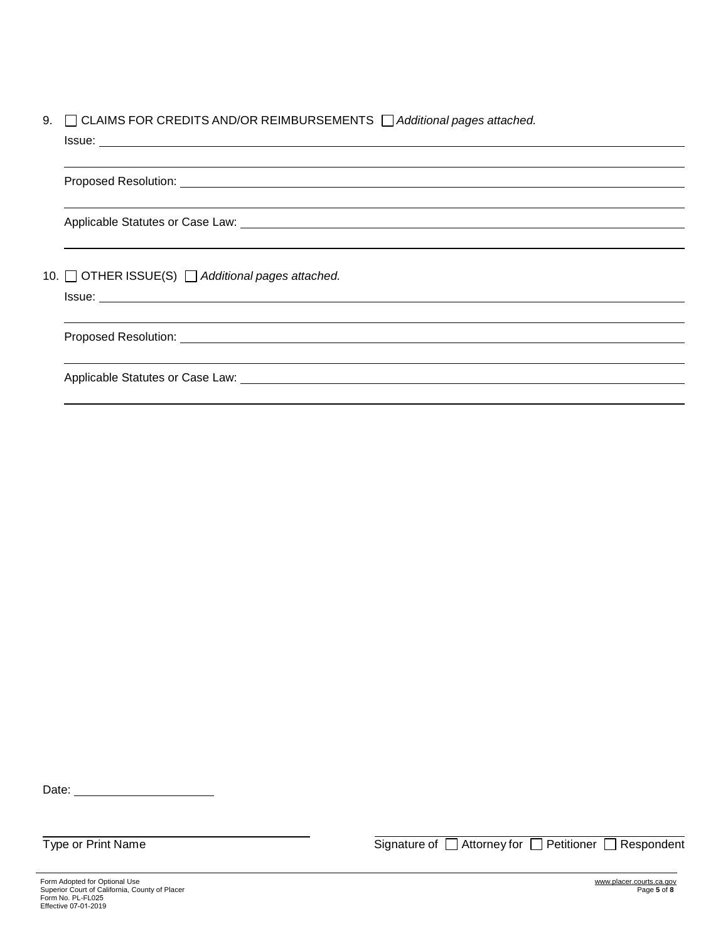| 9. $\Box$ CLAIMS FOR CREDITS AND/OR REIMBURSEMENTS $\Box$ Additional pages attached. |
|--------------------------------------------------------------------------------------|
| Issue:                                                                               |

Proposed Resolution:

Applicable Statutes or Case Law: \_\_\_\_\_\_

10. OTHER ISSUE(S) *Additional pages attached.* Issue:

Proposed Resolution: University of the Contract of the Contract of the Contract of the Contract of the Contract of the Contract of the Contract of the Contract of the Contract of the Contract of the Contract of the Contrac

Applicable Statutes or Case Law: \\contact \\contact \\contact \\contact \\contact \\contact \\contact \\conta

Date: <u>www.community.com</u>

Type or Print Name Signature of Attorney for Petitioner Respondent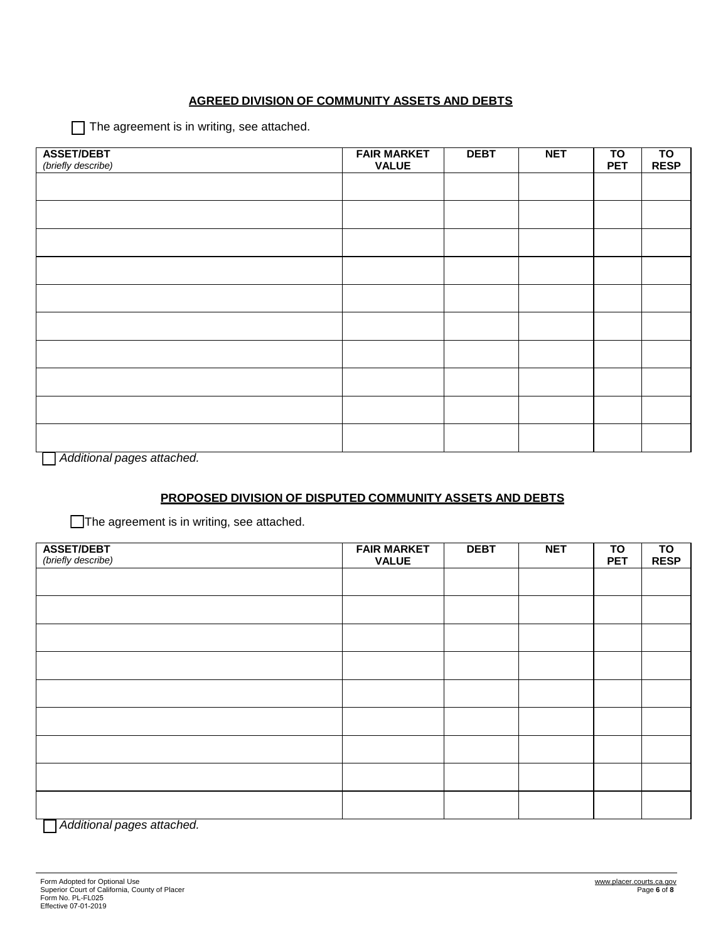#### **AGREED DIVISION OF COMMUNITY ASSETS AND DEBTS**

The agreement is in writing, see attached.

| <b>ASSET/DEBT</b>          | <b>FAIR MARKET</b> | <b>DEBT</b> | <b>NET</b> | TO         | $\overline{10}$ |
|----------------------------|--------------------|-------------|------------|------------|-----------------|
| (briefly describe)         | <b>VALUE</b>       |             |            | <b>PET</b> | <b>RESP</b>     |
|                            |                    |             |            |            |                 |
|                            |                    |             |            |            |                 |
|                            |                    |             |            |            |                 |
|                            |                    |             |            |            |                 |
|                            |                    |             |            |            |                 |
|                            |                    |             |            |            |                 |
|                            |                    |             |            |            |                 |
|                            |                    |             |            |            |                 |
|                            |                    |             |            |            |                 |
|                            |                    |             |            |            |                 |
|                            |                    |             |            |            |                 |
|                            |                    |             |            |            |                 |
|                            |                    |             |            |            |                 |
|                            |                    |             |            |            |                 |
|                            |                    |             |            |            |                 |
|                            |                    |             |            |            |                 |
|                            |                    |             |            |            |                 |
|                            |                    |             |            |            |                 |
|                            |                    |             |            |            |                 |
| Additional pages attached. |                    |             |            |            |                 |

## **PROPOSED DIVISION OF DISPUTED COMMUNITY ASSETS AND DEBTS**

The agreement is in writing, see attached.

| <b>ASSET/DEBT</b><br>(briefly describe) | <b>FAIR MARKET</b><br><b>VALUE</b> | <b>DEBT</b> | <b>NET</b> | TO<br><b>PET</b> | $\overline{10}$<br><b>RESP</b> |
|-----------------------------------------|------------------------------------|-------------|------------|------------------|--------------------------------|
|                                         |                                    |             |            |                  |                                |
|                                         |                                    |             |            |                  |                                |
|                                         |                                    |             |            |                  |                                |
|                                         |                                    |             |            |                  |                                |
|                                         |                                    |             |            |                  |                                |
|                                         |                                    |             |            |                  |                                |
|                                         |                                    |             |            |                  |                                |
|                                         |                                    |             |            |                  |                                |
|                                         |                                    |             |            |                  |                                |
| Additional pages attached.              |                                    |             |            |                  |                                |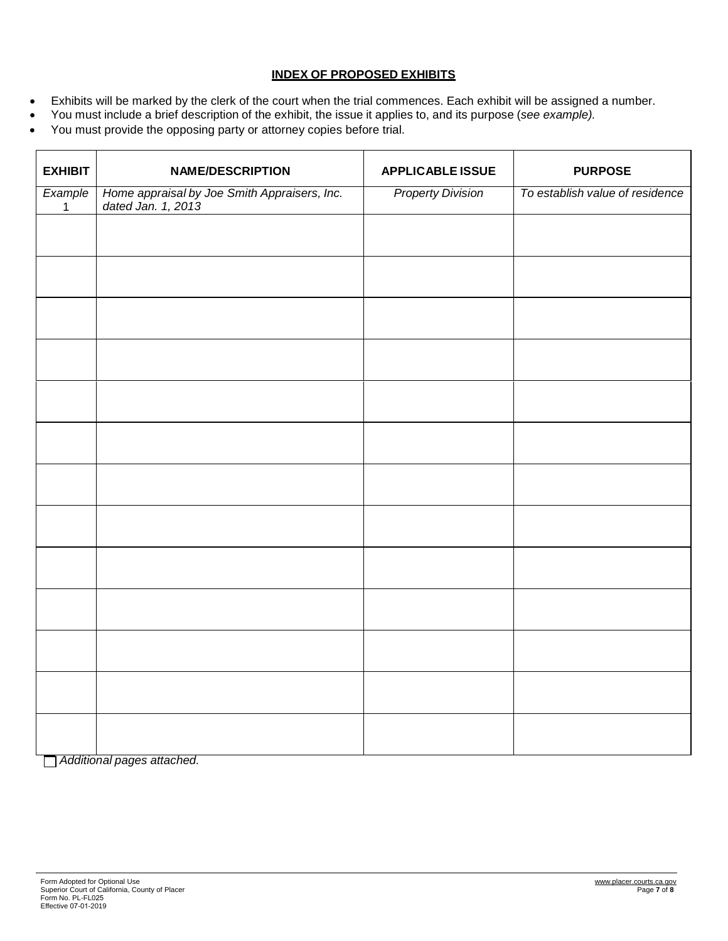## **INDEX OF PROPOSED EXHIBITS**

- Exhibits will be marked by the clerk of the court when the trial commences. Each exhibit will be assigned a number.
- You must include a brief description of the exhibit, the issue it applies to, and its purpose (*see example).*
- You must provide the opposing party or attorney copies before trial.

| <b>EXHIBIT</b>          | <b>NAME/DESCRIPTION</b>                                            | <b>APPLICABLE ISSUE</b>  | <b>PURPOSE</b>                  |
|-------------------------|--------------------------------------------------------------------|--------------------------|---------------------------------|
| Example<br>$\mathbf{1}$ | Home appraisal by Joe Smith Appraisers, Inc.<br>dated Jan. 1, 2013 | <b>Property Division</b> | To establish value of residence |
|                         |                                                                    |                          |                                 |
|                         |                                                                    |                          |                                 |
|                         |                                                                    |                          |                                 |
|                         |                                                                    |                          |                                 |
|                         |                                                                    |                          |                                 |
|                         |                                                                    |                          |                                 |
|                         |                                                                    |                          |                                 |
|                         |                                                                    |                          |                                 |
|                         |                                                                    |                          |                                 |
|                         |                                                                    |                          |                                 |
|                         |                                                                    |                          |                                 |
|                         |                                                                    |                          |                                 |
|                         |                                                                    |                          |                                 |
|                         |                                                                    |                          |                                 |

*Additional pages attached.*